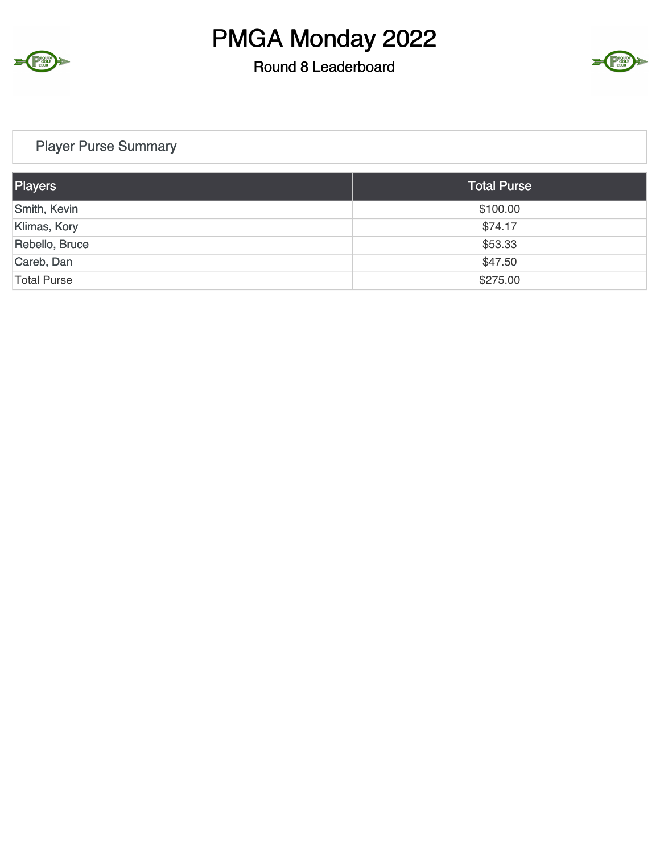

#### Round 8 Leaderboard



#### Player Purse Summary

| Players            | <b>Total Purse</b> |
|--------------------|--------------------|
| Smith, Kevin       | \$100.00           |
| Klimas, Kory       | \$74.17            |
| Rebello, Bruce     | \$53.33            |
| Careb, Dan         | \$47.50            |
| <b>Total Purse</b> | \$275.00           |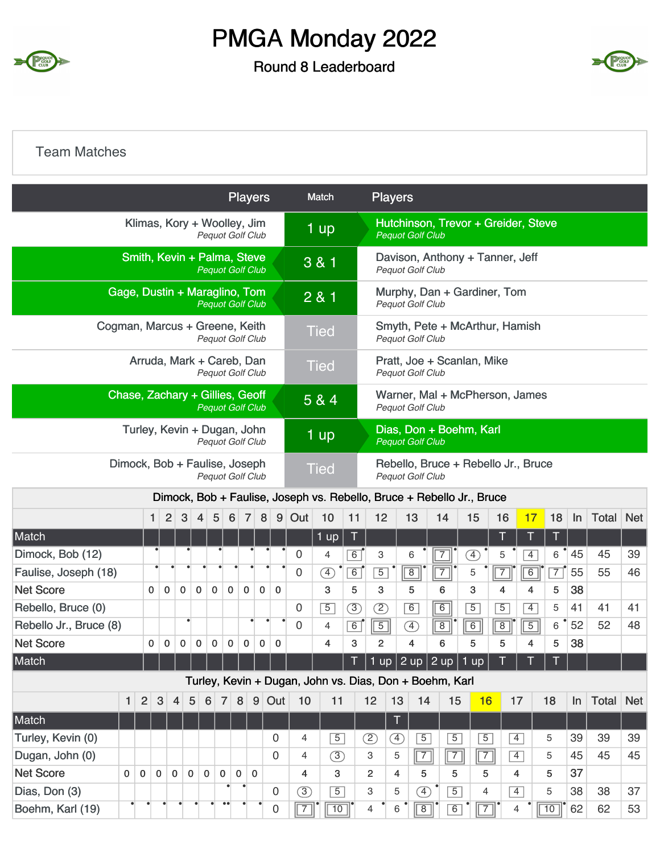

#### Round 8 Leaderboard



#### Team Matches

|                                                            |                                                   |                |                  |                |                               |                         |                  |                 | <b>Players</b> |             |                |                         | Match          |                |                | <b>Players</b> |                                                                       |                |                 |                                     |                |                |    |       |            |
|------------------------------------------------------------|---------------------------------------------------|----------------|------------------|----------------|-------------------------------|-------------------------|------------------|-----------------|----------------|-------------|----------------|-------------------------|----------------|----------------|----------------|----------------|-----------------------------------------------------------------------|----------------|-----------------|-------------------------------------|----------------|----------------|----|-------|------------|
|                                                            |                                                   |                |                  |                | Klimas, Kory + Woolley, Jim   | Pequot Golf Club        |                  |                 |                |             |                |                         | 1 up           |                |                |                | <b>Pequot Golf Club</b>                                               |                |                 | Hutchinson, Trevor + Greider, Steve |                |                |    |       |            |
|                                                            |                                                   |                |                  |                | Smith, Kevin + Palma, Steve   | <b>Pequot Golf Club</b> |                  |                 |                |             |                |                         | 3 & 1          |                |                |                | <b>Pequot Golf Club</b>                                               |                |                 | Davison, Anthony + Tanner, Jeff     |                |                |    |       |            |
|                                                            |                                                   |                |                  |                | Gage, Dustin + Maraglino, Tom | <b>Pequot Golf Club</b> |                  |                 |                |             |                |                         | 281            |                |                |                | <b>Pequot Golf Club</b>                                               |                |                 | Murphy, Dan + Gardiner, Tom         |                |                |    |       |            |
| Cogman, Marcus + Greene, Keith                             |                                                   |                |                  |                |                               | Pequot Golf Club        |                  |                 |                |             |                |                         | <b>Tied</b>    |                |                |                | <b>Pequot Golf Club</b>                                               |                |                 | Smyth, Pete + McArthur, Hamish      |                |                |    |       |            |
|                                                            |                                                   |                |                  |                | Arruda, Mark + Careb, Dan     | Pequot Golf Club        |                  |                 |                |             |                |                         | <b>Tied</b>    |                |                |                | Pratt, Joe + Scanlan, Mike<br><b>Pequot Golf Club</b>                 |                |                 |                                     |                |                |    |       |            |
| Chase, Zachary + Gillies, Geoff<br><b>Pequot Golf Club</b> |                                                   |                |                  |                |                               |                         |                  |                 |                |             |                |                         | 5 & 4          |                |                |                | Pequot Golf Club                                                      |                |                 | Warner, Mal + McPherson, James      |                |                |    |       |            |
|                                                            | Turley, Kevin + Dugan, John<br>Pequot Golf Club   |                |                  |                |                               |                         |                  |                 |                |             |                |                         | 1 up           |                |                |                | Dias, Don + Boehm, Karl<br><b>Pequot Golf Club</b>                    |                |                 |                                     |                |                |    |       |            |
|                                                            | Dimock, Bob + Faulise, Joseph<br>Pequot Golf Club |                |                  |                |                               |                         |                  |                 |                |             |                |                         | <b>Tied</b>    |                |                |                | <b>Pequot Golf Club</b>                                               |                |                 | Rebello, Bruce + Rebello Jr., Bruce |                |                |    |       |            |
|                                                            |                                                   |                |                  |                |                               |                         |                  |                 |                |             |                |                         |                |                |                |                | Dimock, Bob + Faulise, Joseph vs. Rebello, Bruce + Rebello Jr., Bruce |                |                 |                                     |                |                |    |       |            |
|                                                            |                                                   |                | 1                | $\overline{2}$ | 3                             | 4                       | 5                | $6\phantom{1}6$ | $\overline{7}$ | 8           | 9 <sup>1</sup> | Out                     | 10             | 11             | 12             |                | 13                                                                    | 14             | 15              | 16                                  | 17             | 18             | In | Total | <b>Net</b> |
| Match                                                      |                                                   |                |                  |                |                               |                         |                  |                 |                |             |                |                         | $1$ up         | T              |                |                |                                                                       |                |                 |                                     | T              | 0              |    |       |            |
| Dimock, Bob (12)                                           |                                                   |                |                  |                |                               |                         |                  |                 |                |             |                | 0                       | 4              | $\overline{6}$ | 3              |                | 6                                                                     |                | F)              | 5                                   | $\overline{4}$ | 6              | 45 | 45    | 39         |
| Faulise, Joseph (18)                                       |                                                   |                |                  |                |                               |                         |                  |                 |                |             |                | 0                       | <sup>4</sup>   | 6              | $\overline{5}$ |                | $\overline{8}$                                                        | $\overline{7}$ | 5               | $\overline{7}$                      | $\overline{6}$ | $\overline{7}$ | 55 | 55    | 46         |
| <b>Net Score</b>                                           |                                                   |                | 0<br>$\mathbf 0$ |                | 0                             | $\mathbf 0$             | $\mathbf 0$      | $\mathbf 0$     | $\mathbf 0$    | $\mathbf 0$ | $\mathbf 0$    |                         | 3              | 5              | 3              |                | 5                                                                     | 6              | 3               | 4                                   | 4              | 5              | 38 |       |            |
| Rebello, Bruce (0)                                         |                                                   |                |                  |                |                               |                         |                  |                 |                |             |                | 0                       | $\overline{5}$ | $\circled{3}$  | $\circled{2}$  |                | 6                                                                     | 6              | $\overline{5}$  | $\overline{5}$                      | $\overline{4}$ | 5              | 41 | 41    | 41         |
| Rebello Jr., Bruce (8)                                     |                                                   |                |                  |                | $\bullet$                     |                         |                  |                 |                |             |                | $\mathbf 0$             | 4              | 6              | $\overline{5}$ |                | Œ                                                                     | $\overline{8}$ | 6               | $\overline{8}$                      | $\overline{5}$ | 6              | 52 | 52    | 48         |
| <b>Net Score</b>                                           |                                                   |                | 0<br>0           |                | 0<br>$\mathbf 0$              |                         | 0                | 0               | 0              | 0           | $\mathbf 0$    |                         | 4              | 3              | $\overline{2}$ |                | 4                                                                     | 6              | 5               | 5                                   | 4              | 5              | 38 |       |            |
| Match                                                      |                                                   |                |                  |                |                               |                         |                  |                 |                |             |                |                         |                |                |                |                | T   1 up   2 up   2 up   1 up                                         |                |                 |                                     |                | Т              |    |       |            |
|                                                            |                                                   |                |                  |                |                               |                         |                  |                 |                |             |                |                         |                |                |                |                | Turley, Kevin + Dugan, John vs. Dias, Don + Boehm, Karl               |                |                 |                                     |                |                |    |       |            |
|                                                            | 1                                                 | $\overline{2}$ | $\mathbf{3}$     | $\overline{4}$ | 5                             | 6                       | $\overline{7}$   | 8               | 9              |             | Out            | 10                      | 11             |                | 12             | 13             | 14                                                                    | 15             | 16              | 17                                  |                | 18             | ln | Total | <b>Net</b> |
| Match                                                      |                                                   |                |                  |                |                               |                         |                  |                 |                |             |                |                         |                |                |                | T              |                                                                       |                |                 |                                     |                |                |    |       |            |
| Turley, Kevin (0)                                          |                                                   |                |                  |                |                               |                         |                  |                 |                |             | $\Omega$       | $\overline{4}$          | $\overline{5}$ |                | $^{\circledR}$ | $\circled{4}$  | $\overline{5}$                                                        | $\overline{5}$ | $\overline{5}$  | $\overline{4}$                      |                | 5              | 39 | 39    | 39         |
| Dugan, John (0)                                            |                                                   |                |                  |                |                               |                         |                  |                 |                |             | $\mathbf 0$    | 4                       | (3)            |                | 3              | 5              | $\boxed{7}$                                                           | $\boxed{7}$    | $\vert 7 \vert$ | $\vert 4 \vert$                     |                | 5              | 45 | 45    | 45         |
| <b>Net Score</b>                                           | $\mathbf 0$                                       | $\mathbf 0$    | $\mathbf 0$      | $\mathbf 0$    | $\mathbf 0$                   | $\mathbf 0$             | $\mathbf 0$      | $\mathbf 0$     | $\mathbf 0$    |             |                | 4                       | 3              |                | $\overline{2}$ | 4              | 5                                                                     | 5              | 5               | 4                                   |                | 5              | 37 |       |            |
| Dias, Don (3)                                              |                                                   |                |                  |                |                               |                         |                  |                 |                |             | $\mathbf 0$    | $\circled{3}$           | $\overline{5}$ |                | 3              | 5              | 4                                                                     | $\overline{5}$ | 4               | $\overline{4}$                      |                | 5              | 38 | 38    | 37         |
| Boehm, Karl (19)                                           |                                                   |                |                  |                |                               |                         | $\bullet\bullet$ |                 |                |             | 0              | $\overline{\mathbb{Z}}$ | $\boxed{10}$   |                | 4              | 6              | $\sqrt{8}$                                                            | 6              | $\overline{7}$  | $\overline{4}$                      |                | 10             | 62 | 62    | 53         |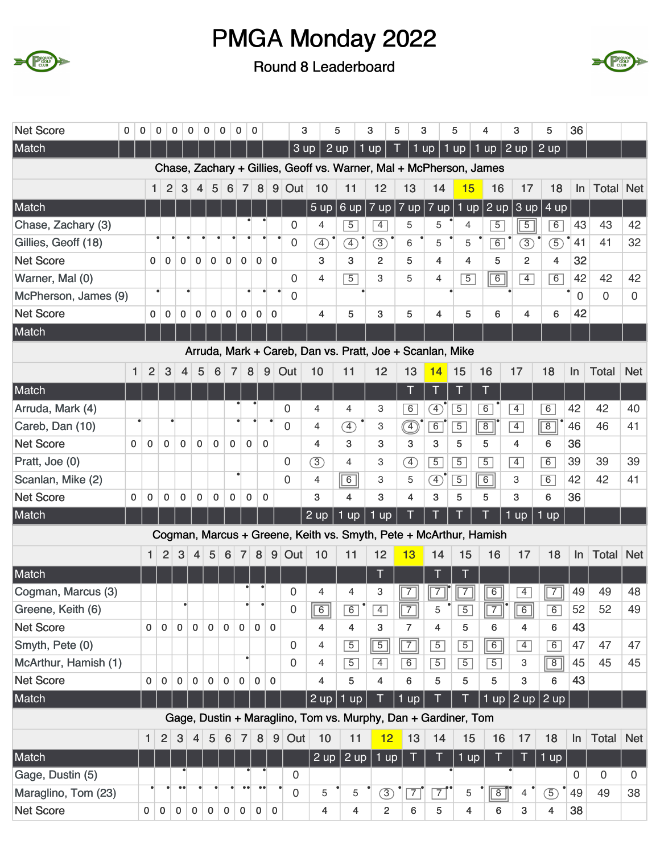





| <b>Net Score</b>     | 0            | 0              | 0              | 0            | 0              | $\mathbf 0$      | $\mathbf 0$    | 0                | 0            |              | 3                   |                | 5              | 3                                                                  | 5                 | 3                       | 5              | 4              | 3              | 5              | 36                       |              |             |
|----------------------|--------------|----------------|----------------|--------------|----------------|------------------|----------------|------------------|--------------|--------------|---------------------|----------------|----------------|--------------------------------------------------------------------|-------------------|-------------------------|----------------|----------------|----------------|----------------|--------------------------|--------------|-------------|
| Match                |              |                |                |              |                |                  |                |                  |              |              | 3 up                | 2 up           |                | 1 up                                                               |                   | $1$ up                  | 1 up           | 1 up           | $2 \text{ up}$ | $2 \text{ up}$ |                          |              |             |
|                      |              |                |                |              |                |                  |                |                  |              |              |                     |                |                | Chase, Zachary + Gillies, Geoff vs. Warner, Mal + McPherson, James |                   |                         |                |                |                |                |                          |              |             |
|                      |              | 1.             | 2              | 3            | 4              | 5                | 6              | $\overline{7}$   | 8            | 9            | Out                 | 10             | 11             | 12                                                                 | 13                | 14                      | 15             | 16             | 17             | 18             | $\ln$                    | <b>Total</b> | <b>Net</b>  |
| Match                |              |                |                |              |                |                  |                |                  |              |              |                     | 5 up           | 6 up           | 7 up                                                               | $7 \overline{up}$ | $7$ up                  | $1$ up         | $2$ up         | 3 up           | 4 up           |                          |              |             |
| Chase, Zachary (3)   |              |                |                |              |                |                  |                |                  |              |              | 0                   | $\overline{4}$ | $\overline{5}$ | $\overline{4}$                                                     | 5                 | 5                       | $\overline{4}$ | $\overline{5}$ | $\overline{5}$ | $\overline{6}$ | 43                       | 43           | 42          |
| Gillies, Geoff (18)  |              |                |                |              |                |                  |                |                  |              |              | 0                   | $\bigoplus$    | $\circled{4}$  | $\circled{3}$                                                      | 6                 | 5                       | 5              | 6              | $\circled{3}$  | $\mathfrak{S}$ | 41                       | 41           | 32          |
| <b>Net Score</b>     |              | $\Omega$       | $\mathbf{0}$   | $\mathbf{0}$ | $\mathbf{0}$   | $\mathbf{0}$     | $\mathbf{0}$   | $\mathbf{0}$     | $\mathbf{0}$ | $\Omega$     |                     | 3              | 3              | $\overline{2}$                                                     | 5                 | $\overline{4}$          | 4              | 5              | $\overline{2}$ | 4              | 32                       |              |             |
| Warner, Mal (0)      |              |                |                |              |                |                  |                |                  |              |              | $\mathbf 0$         | 4              | $\overline{5}$ | 3                                                                  | 5                 | $\overline{4}$          | $\overline{5}$ | $\sqrt{6}$     | $\overline{4}$ | 6              | 42                       | 42           | 42          |
| McPherson, James (9) |              |                |                |              |                |                  |                |                  |              |              | $\mathbf 0$         |                |                |                                                                    |                   |                         |                |                |                |                | $\bullet$<br>$\mathbf 0$ | $\mathbf 0$  | $\mathbf 0$ |
| <b>Net Score</b>     |              | $\mathbf{0}$   | $\mathbf 0$    | 0            | $\mathbf 0$    | 0                | $\mathbf 0$    | 0                | 0            | $\mathbf 0$  |                     | $\overline{4}$ | 5              | 3                                                                  | 5                 | $\overline{4}$          | 5              | 6              | 4              | 6              | 42                       |              |             |
| Match                |              |                |                |              |                |                  |                |                  |              |              |                     |                |                |                                                                    |                   |                         |                |                |                |                |                          |              |             |
|                      |              |                |                |              |                |                  |                |                  |              |              |                     |                |                | Arruda, Mark + Careb, Dan vs. Pratt, Joe + Scanlan, Mike           |                   |                         |                |                |                |                |                          |              |             |
|                      | 1            | $\overline{2}$ | 3              | 4            | 5              | $\boldsymbol{6}$ | $\overline{7}$ |                  | 8            | 9            | Out                 | 10             | 11             | 12                                                                 | 13                | 14                      | 15             | 16             | 17             | 18             | In                       | Total        | <b>Net</b>  |
| Match                |              |                |                |              |                |                  |                |                  |              |              |                     |                |                |                                                                    |                   |                         | Т              |                |                |                |                          |              |             |
| Arruda, Mark (4)     |              |                |                |              |                |                  |                |                  |              |              | 0                   | 4              | $\overline{4}$ | 3                                                                  | $\overline{6}$    | A)                      | $\overline{5}$ | $\overline{6}$ | $\overline{4}$ | 6              | 42                       | 42           | 40          |
| Careb, Dan (10)      |              |                |                |              |                |                  |                |                  |              |              | 0                   | 4              | $\circledA$    | 3                                                                  | $\circled{4}$     | $\boxed{6}$             | $\overline{5}$ | $\overline{8}$ | $\overline{4}$ | $\overline{8}$ | 46                       | 46           | 41          |
| <b>Net Score</b>     | $\mathbf{0}$ | 0              | $\mathbf 0$    | $\mathbf 0$  | $\mathbf 0$    | $\mathbf 0$      | $\mathbf 0$    | 0                |              | $\mathbf{0}$ |                     | 4              | 3              | 3                                                                  | 3                 | 3                       | 5              | 5              | 4              | 6              | 36                       |              |             |
| Pratt, Joe (0)       |              |                |                |              |                |                  |                |                  |              |              | 0                   | 3              | $\overline{4}$ | 3                                                                  | $\circled{4}$     | $\overline{5}$          | $\overline{5}$ | $\overline{5}$ | $\overline{4}$ | $\overline{6}$ | 39                       | 39           | 39          |
| Scanlan, Mike (2)    |              |                |                |              |                |                  |                |                  |              |              | 0                   | $\overline{4}$ | $\boxed{6}$    | 3                                                                  | 5                 | $\circledA$             | $\overline{5}$ | 6              | 3              | $\overline{6}$ | 42                       | 42           | 41          |
| <b>Net Score</b>     | $\mathbf 0$  | 0              | 0              | 0            | 0              | 0                | 0              | 0                |              | 0            |                     | 3              | 4              | 3                                                                  | 4                 | 3                       | 5              | 5              | 3              | 6              | 36                       |              |             |
| Match                |              |                |                |              |                |                  |                |                  |              |              |                     | 2 up           | $1$ up         | 1 up                                                               |                   |                         |                |                | $1$ up         | $1$ up         |                          |              |             |
|                      |              |                |                |              |                |                  |                |                  |              |              |                     |                |                | Cogman, Marcus + Greene, Keith vs. Smyth, Pete + McArthur, Hamish  |                   |                         |                |                |                |                |                          |              |             |
|                      |              | 1              | $\overline{2}$ | 3            | 4              | 5                | 6              | $\overline{7}$   | 8            | 9            | Out                 | 10             | 11             | 12                                                                 | 13                | 14                      | 15             | 16             | 17             | 18             | In                       | <b>Total</b> | <b>Net</b>  |
| Match                |              |                |                |              |                |                  |                |                  |              |              |                     |                |                |                                                                    |                   | T                       |                |                |                |                |                          |              |             |
| Cogman, Marcus (3)   |              |                |                |              |                |                  |                |                  |              |              | 0                   | 4              | 4              | 3                                                                  | 7                 | $\overline{\mathbf{1}}$ | 7              | $\overline{6}$ | $\overline{4}$ | $\sqrt{7}$     | 49                       | 49           | 48          |
| Greene, Keith (6)    |              |                |                | $\bullet$    |                |                  |                | $\bullet$        |              |              | $\mathsf{O}\xspace$ | $\boxed{6}$    | $\boxed{6}$    | $\boxed{4}$                                                        | $\boxed{7}$       | $\bullet$<br>$\sqrt{5}$ | $\boxed{5}$    | $\boxed{7}$    | $\boxed{6}$    | $\boxed{6}$    | 52                       | 52           | 49          |
| <b>Net Score</b>     |              | $\mathbf 0$    | $\mathbf 0$    | $\mathbf 0$  | $\mathbf 0$    | $\mathbf{0}$     | $\mathbf{0}$   | $\mathbf 0$      | $\mathbf{0}$ | $\mathbf 0$  |                     | 4              | 4              | 3                                                                  | $\overline{7}$    | 4                       | 5              | 6              | 4              | 6              | 43                       |              |             |
| Smyth, Pete (0)      |              |                |                |              |                |                  |                |                  |              |              | 0                   | 4              | $\overline{5}$ | $\sqrt{5}$                                                         | $\sqrt{7}$        | $\overline{5}$          | $\overline{5}$ | 6              | $\overline{4}$ | 6              | 47                       | 47           | 47          |
| McArthur, Hamish (1) |              |                |                |              |                |                  |                |                  |              |              | 0                   | $\overline{4}$ | $\overline{5}$ | $\overline{4}$                                                     | 6                 | $\overline{5}$          | $\overline{5}$ | $\overline{5}$ | 3              | $\sqrt{8}$     | 45                       | 45           | 45          |
| <b>Net Score</b>     |              | $\mathbf 0$    | $\mathbf 0$    | $\mathbf 0$  | $\Omega$       | $\Omega$         | $\mathbf 0$    | $\mathbf 0$      | $\mathbf{0}$ | $\mathbf{0}$ |                     | 4              | 5              | 4                                                                  | 6                 | 5                       | 5              | 5              | 3              | 6              | 43                       |              |             |
| Match                |              |                |                |              |                |                  |                |                  |              |              |                     | $2 \text{ up}$ | $1$ up         |                                                                    | $1$ up            | T                       |                | 1 up           |                | $2$ up $2$ up  |                          |              |             |
|                      |              |                |                |              |                |                  |                |                  |              |              |                     |                |                | Gage, Dustin + Maraglino, Tom vs. Murphy, Dan + Gardiner, Tom      |                   |                         |                |                |                |                |                          |              |             |
|                      |              | 1              | $\overline{2}$ | 3            | $\overline{4}$ | 5                | 6              | $\overline{7}$   | 8            |              | 9 Out               | 10             | 11             | 12                                                                 | 13                | 14                      | 15             | 16             | 17             | 18             | $\ln$                    | <b>Total</b> | <b>Net</b>  |
| Match                |              |                |                |              |                |                  |                |                  |              |              |                     |                | $2$ up $2$ up  | 1 up                                                               | Т                 | Τ                       | $1$ up         | Τ              | Τ              | 1 up           |                          |              |             |
| Gage, Dustin (5)     |              |                |                |              |                |                  |                |                  |              |              | 0                   |                |                |                                                                    |                   |                         |                |                |                |                | $\mathbf 0$              | 0            | 0           |
| Maraglino, Tom (23)  |              |                |                | $\bullet$    |                |                  |                | $\bullet\bullet$ |              |              | 0                   | 5              | 5              | $\circled{3}$                                                      | $\overline{7}$    | $\overline{7}$          | 5              | $\sqrt{8}$     | $\overline{4}$ | $\circled{5}$  | 49                       | 49           | 38          |
| <b>Net Score</b>     |              | 0              | $\mathbf 0$    | 0            | $\mathbf 0$    | 0                | 0              | 0                | $\mathbf 0$  | $\mathbf 0$  |                     | 4              | 4              | $\overline{\mathbf{c}}$                                            | 6                 | 5                       | 4              | 6              | 3              | 4              | 38                       |              |             |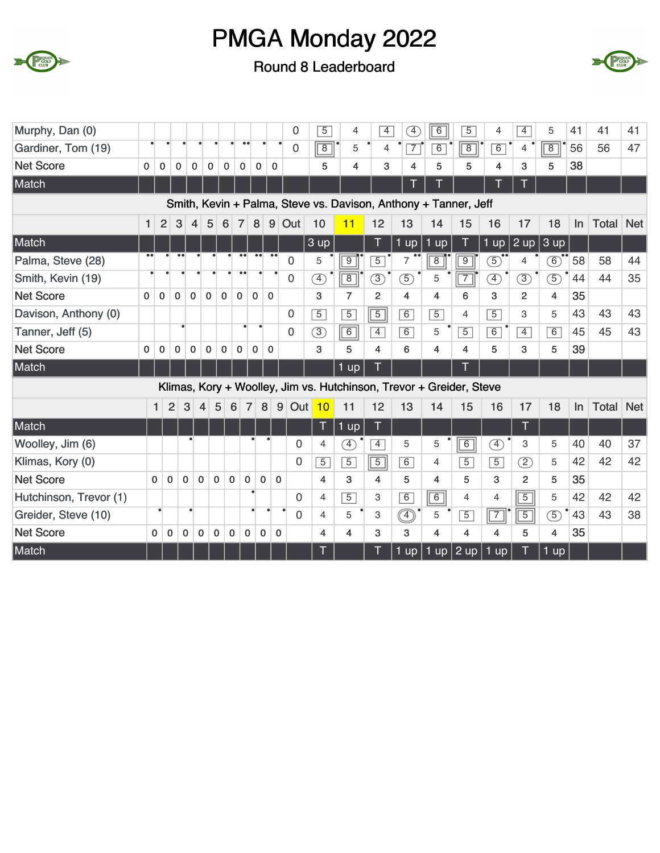



| Murphy, Dan (0)        |              |              |                |              |              |              |                        |                  |              | $\overline{0}$        | $\overline{5}$ | 4              | $\overline{4}$ | $\begin{bmatrix} 4 \end{bmatrix}$ | $\overline{6}$                                                      | $\overline{5}$ | 4                            | $\overline{4}$ | 5              | 41 | 41           | 41         |
|------------------------|--------------|--------------|----------------|--------------|--------------|--------------|------------------------|------------------|--------------|-----------------------|----------------|----------------|----------------|-----------------------------------|---------------------------------------------------------------------|----------------|------------------------------|----------------|----------------|----|--------------|------------|
| Gardiner, Tom (19)     |              |              |                |              |              |              | $\bullet$              | $\bullet\bullet$ |              | 0                     | $\overline{8}$ | 5              | 4              | $\overline{7}$                    | $\overline{6}$                                                      | $\overline{8}$ | 6                            | 4              | $\overline{8}$ | 56 | 56           | 47         |
| <b>Net Score</b>       | 0            | $\mathbf 0$  | 0              | 0            | 0            | $\mathbf 0$  | $\mathbf 0$            | $\mathbf 0$      | $\mathbf 0$  |                       | 5              | 4              | 3              | 4                                 | 5                                                                   | 5              | 4                            | 3              | 5              | 38 |              |            |
| Match                  |              |              |                |              |              |              |                        |                  |              |                       |                |                |                |                                   |                                                                     |                |                              |                |                |    |              |            |
|                        |              |              |                |              |              |              |                        |                  |              |                       |                |                |                |                                   | Smith, Kevin + Palma, Steve vs. Davison, Anthony + Tanner, Jeff     |                |                              |                |                |    |              |            |
|                        | $\mathbf{1}$ | 2            | 3              | 4            | 5            | 6            | $\overline{7}$         | 8                | 9            | Out                   | 10             | 11             | 12             | 13                                | 14                                                                  | 15             | 16                           | 17             | 18             | In | <b>Total</b> | <b>Net</b> |
| Match                  |              |              |                |              |              |              |                        |                  |              |                       | 3 up           |                | Т              | $1$ up                            | $1 \overline{up}$                                                   | Т              | 1 up                         | $2 \text{ up}$ | 3 up           |    |              |            |
| Palma, Steve (28)      |              |              |                |              |              |              |                        |                  |              | $\overline{0}$        | 5              | $\overline{9}$ | $\overline{5}$ | 7                                 | $\overline{8}$                                                      | $\overline{9}$ | 5)                           | 4              | $\circledcirc$ | 58 | 58           | 44         |
| Smith, Kevin (19)      |              |              |                |              |              |              | $\bullet$<br>$\bullet$ |                  |              | 0                     | $\overline{4}$ | $\overline{8}$ | $\circled{3}$  | $\circled{5}$                     | 5                                                                   | $\overline{7}$ | $\left( \overline{4}\right)$ | $\circled{3}$  | $\overline{5}$ | 44 | 44           | 35         |
| <b>Net Score</b>       | $\mathbf{0}$ | $\mathbf{0}$ | $\mathbf{0}$   | $\mathbf{0}$ | $\mathbf 0$  | $\mathbf 0$  | $\mathbf{0}$           | $\mathbf 0$      | $\mathbf{0}$ |                       | 3              | $\overline{7}$ | $\overline{2}$ | $\overline{\mathbf{4}}$           | 4                                                                   | 6              | 3                            | $\overline{2}$ | 4              | 35 |              |            |
| Davison, Anthony (0)   |              |              |                |              |              |              |                        |                  |              | $\mathbf 0$           | $\overline{5}$ | $\overline{5}$ | $\overline{5}$ | 6                                 | $\overline{5}$                                                      | 4              | $\overline{5}$               | 3              | 5              | 43 | 43           | 43         |
| Tanner, Jeff (5)       |              |              |                |              |              |              |                        |                  |              | $\Omega$              | $\overline{3}$ | $\boxed{6}$    | $\overline{4}$ | $\overline{6}$                    | 5                                                                   | $\overline{5}$ | $\overline{6}$               | $\overline{4}$ | 6              | 45 | 45           | 43         |
| <b>Net Score</b>       | $\mathbf{0}$ | 0            | $\mathbf 0$    | $\mathbf{0}$ | $\mathbf 0$  | $\mathbf 0$  | $\mathbf 0$            | $\mathbf 0$      | $\mathbf{0}$ |                       | 3              | 5              | 4              | 6                                 | $\overline{4}$                                                      | 4              | 5                            | 3              | 5              | 39 |              |            |
| Match                  |              |              |                |              |              |              |                        |                  |              |                       |                | $1$ up         | Π              |                                   |                                                                     | T              |                              |                |                |    |              |            |
|                        |              |              |                |              |              |              |                        |                  |              |                       |                |                |                |                                   | Klimas, Kory + Woolley, Jim vs. Hutchinson, Trevor + Greider, Steve |                |                              |                |                |    |              |            |
|                        |              | $\mathbf{1}$ | $\overline{2}$ | 3            | 4            | 5            | 6                      | $\overline{7}$   | $\bf 8$      | 9<br>Out <sub>1</sub> | 10             | 11             | 12             | 13                                | 14                                                                  | 15             | 16                           | 17             | 18             | In | <b>Total</b> | <b>Net</b> |
| Match                  |              |              |                |              |              |              |                        |                  |              |                       | Т              | $1$ up         | T              |                                   |                                                                     |                |                              | Т              |                |    |              |            |
| Woolley, Jim (6)       |              |              |                |              |              |              |                        |                  |              | $\Omega$              | 4              | Ð              | $\overline{4}$ | 5                                 | 5                                                                   | 6              | Ð                            | 3              | 5              | 40 | 40           | 37         |
| Klimas, Kory (0)       |              |              |                |              |              |              |                        |                  |              | $\Omega$              | $\overline{5}$ | $\overline{5}$ | $\overline{5}$ | 6                                 | $\overline{4}$                                                      | $\overline{5}$ | $\overline{5}$               | $\circled{2}$  | 5              | 42 | 42           | 42         |
| <b>Net Score</b>       | $\Omega$     | $\Omega$     |                | $\mathbf 0$  | $\mathbf{0}$ | $\mathbf{0}$ | $\mathbf{0}$           | $\Omega$         | $\mathbf{0}$ | $\Omega$              | $\overline{4}$ | 3              | 4              | 5                                 | $\overline{4}$                                                      | 5              | 3                            | $\overline{2}$ | 5              | 35 |              |            |
| Hutchinson, Trevor (1) |              |              |                |              |              |              |                        |                  |              | $\Omega$              | $\overline{4}$ | $\overline{5}$ | 3              | 6                                 | $\overline{6}$                                                      | $\overline{4}$ | $\overline{4}$               | $\overline{5}$ | 5              | 42 | 42           | 42         |
| Greider, Steve (10)    |              | ٠            |                | ٠            |              |              |                        |                  |              | $\Omega$              | $\overline{4}$ | 5              | 3              |                                   | 5                                                                   | $\overline{5}$ | $\overline{7}$               | $\overline{5}$ | $\overline{5}$ | 43 | 43           | 38         |
| <b>Net Score</b>       | $\mathbf{0}$ | $\mathbf 0$  |                | $\mathbf 0$  | $\mathbf 0$  | $\bf{0}$     | $\mathbf 0$            | $\mathbf 0$      | 0            | 0                     | 4              | $\overline{4}$ | 3              | 3                                 | $\overline{4}$                                                      | 4              | 4                            | 5              | $\overline{4}$ | 35 |              |            |
| Match                  |              |              |                |              |              |              |                        |                  |              |                       |                |                |                | $1$ up                            | $1$ up $\vert$                                                      | $2$ up         | $1 \text{ up}$               |                | $1$ up         |    |              |            |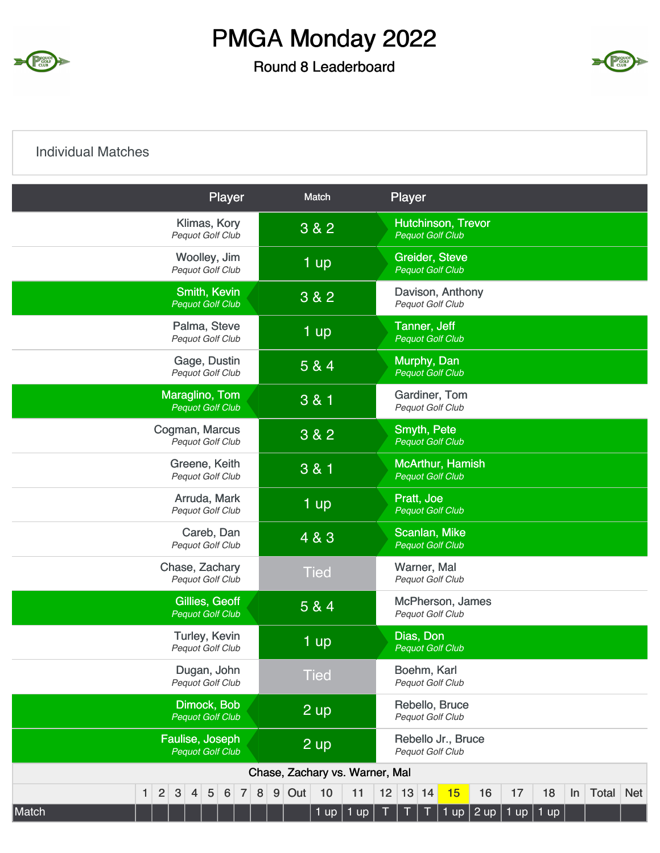

#### Round 8 Leaderboard



#### Individual Matches

| Player                                                                 | Match                              | Player                                                                        |
|------------------------------------------------------------------------|------------------------------------|-------------------------------------------------------------------------------|
| Klimas, Kory<br>Pequot Golf Club                                       | 3 & 2                              | <b>Hutchinson, Trevor</b><br><b>Pequot Golf Club</b>                          |
| Woolley, Jim<br>Pequot Golf Club                                       | 1 up                               | <b>Greider, Steve</b><br><b>Pequot Golf Club</b>                              |
| Smith, Kevin<br><b>Pequot Golf Club</b>                                | 3 & 2                              | Davison, Anthony<br>Pequot Golf Club                                          |
| Palma, Steve<br>Pequot Golf Club                                       | 1 up                               | Tanner, Jeff<br><b>Pequot Golf Club</b>                                       |
| Gage, Dustin<br>Pequot Golf Club                                       | 5 & 4                              | Murphy, Dan<br><b>Pequot Golf Club</b>                                        |
| Maraglino, Tom<br><b>Pequot Golf Club</b>                              | 3 & 1                              | Gardiner, Tom<br>Pequot Golf Club                                             |
| Cogman, Marcus<br>Pequot Golf Club                                     | 3 & 2                              | Smyth, Pete<br><b>Pequot Golf Club</b>                                        |
| Greene, Keith<br>Pequot Golf Club                                      | 3 & 1                              | McArthur, Hamish<br><b>Pequot Golf Club</b>                                   |
| Arruda, Mark<br>Pequot Golf Club                                       | 1 up                               | Pratt, Joe<br><b>Pequot Golf Club</b>                                         |
| Careb, Dan<br>Pequot Golf Club                                         | 4 & 3                              | Scanlan, Mike<br><b>Pequot Golf Club</b>                                      |
| Chase, Zachary<br>Pequot Golf Club                                     | <b>Tied</b>                        | Warner, Mal<br>Pequot Golf Club                                               |
| Gillies, Geoff<br><b>Pequot Golf Club</b>                              | 5 & 4                              | McPherson, James<br>Pequot Golf Club                                          |
| Turley, Kevin<br>Pequot Golf Club                                      | 1 up                               | Dias, Don<br><b>Pequot Golf Club</b>                                          |
| Dugan, John<br>Pequot Golf Club                                        | <b>Tied</b>                        | Boehm, Karl<br><b>Pequot Golf Club</b>                                        |
| Dimock, Bob<br><b>Pequot Golf Club</b>                                 | 2 up                               | Rebello, Bruce<br>Pequot Golf Club                                            |
| Faulise, Joseph<br><b>Pequot Golf Club</b>                             | 2 up                               | Rebello Jr., Bruce<br>Pequot Golf Club                                        |
|                                                                        | Chase, Zachary vs. Warner, Mal     |                                                                               |
| $\overline{2}$<br>3<br>5<br>$\overline{7}$<br>6<br>1<br>$\overline{4}$ | 8<br>$\boldsymbol{9}$<br>Out<br>10 | 12<br>13 14<br>16<br>17<br><b>Total</b><br><b>Net</b><br>11<br>15<br>18<br>In |
| Match                                                                  | $1$ up                             | 1 up<br>1 up $ 2$ up<br>Т<br>1 up<br>$ 1$ up                                  |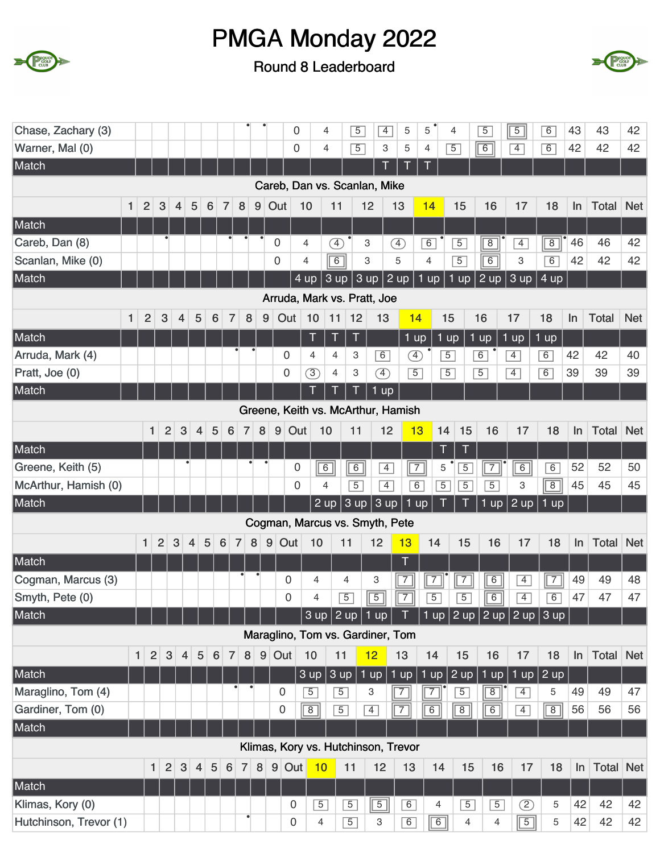



| Chase, Zachary (3)     |              |                                  |                |                |                              |   |                 |                |         |   | 0                                   |                 | 4              | $\overline{5}$           |                           | $\overline{4}$    | 5              | 5                 | 4                                | $\overline{5}$ | $\overline{5}$ |                | $\overline{6}$                   | 43    | 43           | 42         |
|------------------------|--------------|----------------------------------|----------------|----------------|------------------------------|---|-----------------|----------------|---------|---|-------------------------------------|-----------------|----------------|--------------------------|---------------------------|-------------------|----------------|-------------------|----------------------------------|----------------|----------------|----------------|----------------------------------|-------|--------------|------------|
| Warner, Mal (0)        |              |                                  |                |                |                              |   |                 |                |         |   | $\overline{0}$                      |                 | 4              | $\overline{5}$           |                           | 3                 | 5              | 4                 | $\overline{5}$                   | $\sqrt{6}$     | $\overline{4}$ |                | 6                                | 42    | 42           | 42         |
| Match                  |              |                                  |                |                |                              |   |                 |                |         |   |                                     |                 |                |                          |                           | Τ                 |                | T                 |                                  |                |                |                |                                  |       |              |            |
|                        |              |                                  |                |                |                              |   |                 |                |         |   | Careb, Dan vs. Scanlan, Mike        |                 |                |                          |                           |                   |                |                   |                                  |                |                |                |                                  |       |              |            |
|                        | $\mathbf{1}$ | $\overline{2}$                   | 3              | 4              | 5                            | 6 | 7               | 8              | $9\,$   |   | Out                                 | 10              | 11             |                          | 12                        |                   | 13             | 14                | 15                               | 16             |                | 17             | 18                               | In    | <b>Total</b> | <b>Net</b> |
| Match                  |              |                                  |                |                |                              |   |                 |                |         |   |                                     |                 |                |                          |                           |                   |                |                   |                                  |                |                |                |                                  |       |              |            |
| Careb, Dan (8)         |              |                                  |                |                |                              |   |                 |                |         |   | $\mathbf 0$                         | 4               |                | $\circled{4}$            | 3                         |                   | ④              | 6                 | $\overline{5}$                   | $\overline{8}$ |                | $\overline{4}$ | $\boxed{8}$                      | 46    | 46           | 42         |
| Scanlan, Mike (0)      |              |                                  |                |                |                              |   |                 |                |         |   | $\mathbf 0$                         | 4               |                | $\overline{6}$           | 3                         |                   | 5              | $\overline{4}$    | $\overline{5}$                   | $\overline{6}$ |                | 3              | 6                                | 42    | 42           | 42         |
| Match                  |              |                                  |                |                |                              |   |                 |                |         |   |                                     | $4 \mathrm{up}$ |                | 3 up                     | 3 up                      |                   | $2$ up         | $1 \overline{up}$ | 1 up                             | 2 up           |                | 3 up           | 4 up                             |       |              |            |
|                        |              |                                  |                |                |                              |   |                 |                |         |   | Arruda, Mark vs. Pratt, Joe         |                 |                |                          |                           |                   |                |                   |                                  |                |                |                |                                  |       |              |            |
|                        | $\mathbf{1}$ | $\overline{2}$                   | 3              | $\overline{4}$ | 5                            |   | 6               | $\overline{7}$ | $\bf 8$ | 9 | Out                                 | 10              | 11             | 12                       |                           | 13                | 14             |                   | 15                               | 16             | 17             |                | 18                               | In    | <b>Total</b> | <b>Net</b> |
| Match                  |              |                                  |                |                |                              |   |                 |                |         |   |                                     | Τ               | Ţ              | T                        |                           |                   | $1$ up         |                   | $1$ up                           | $1$ up         | $1$ up         |                | $1$ up                           |       |              |            |
| Arruda, Mark (4)       |              |                                  |                |                |                              |   |                 |                |         |   | 0                                   | $\overline{4}$  | 4              | 3                        |                           | 6                 | Ð              |                   | $\overline{5}$                   | 6              | $\overline{4}$ |                | 6                                | 42    | 42           | 40         |
| Pratt, Joe (0)         |              |                                  |                |                |                              |   |                 |                |         |   | $\mathbf 0$                         | $\circled{3}$   | $\overline{4}$ | 3                        |                           | $\circled{4}$     | $\overline{5}$ |                   | $\overline{5}$                   | $\overline{5}$ | $\overline{4}$ |                | 6                                | 39    | 39           | 39         |
| Match                  |              |                                  |                |                |                              |   |                 |                |         |   |                                     |                 |                |                          |                           | $1 \overline{up}$ |                |                   |                                  |                |                |                |                                  |       |              |            |
|                        |              |                                  |                |                |                              |   |                 |                |         |   | Greene, Keith vs. McArthur, Hamish  |                 |                |                          |                           |                   |                |                   |                                  |                |                |                |                                  |       |              |            |
|                        |              | 1                                | $\overline{2}$ | 3              | $\overline{4}$               | 5 | 6               |                | 8<br>7  |   | $9\,$                               | Out             | 10             | 11                       |                           | 12                | 13             | 14                | 15                               | 16             |                | 17             | 18                               | In    | Total        | <b>Net</b> |
| Match                  |              |                                  |                |                |                              |   |                 |                |         |   |                                     |                 |                |                          |                           |                   |                | T                 | T                                |                |                |                |                                  |       |              |            |
| Greene, Keith (5)      |              |                                  |                |                |                              |   |                 |                |         |   | 0                                   |                 | $\boxed{6}$    | 6                        |                           | $\overline{4}$    | $\sqrt{7}$     | 5                 | $\overline{5}$                   | $\overline{7}$ |                | 6              | $\overline{6}$                   | 52    | 52           | 50         |
| McArthur, Hamish (0)   |              |                                  |                |                |                              |   |                 |                |         |   |                                     | $\Omega$        | 4              | $\overline{5}$           |                           | $\overline{4}$    | $\overline{6}$ |                   | $\overline{5}$<br>$\overline{5}$ | $\overline{5}$ |                | 3              | $\overline{8}$                   | 45    | 45           | 45         |
| Match                  |              |                                  |                |                |                              |   |                 |                |         |   |                                     |                 | $2 \text{ up}$ | 3 up                     |                           | 3 up              | $1$ up         |                   |                                  | 1<br><b>up</b> |                | $2$ up         | $1$ up                           |       |              |            |
|                        |              |                                  |                |                |                              |   |                 |                |         |   | Cogman, Marcus vs. Smyth, Pete      |                 |                |                          |                           |                   |                |                   |                                  |                |                |                |                                  |       |              |            |
|                        |              | $\mathbf{1}$                     | $\overline{2}$ | 3              | 4                            | 5 | $\,6\,$         | $\overline{7}$ | 8       |   | $9$ Out                             | 10              |                | 11                       | 12                        |                   | 13             | 14                | 15                               | 16             |                | 17             | 18                               | In    | <b>Total</b> | <b>Net</b> |
| Match                  |              |                                  |                |                |                              |   |                 |                |         |   |                                     |                 |                |                          |                           |                   | T              |                   |                                  |                |                |                |                                  |       |              |            |
| Cogman, Marcus (3)     |              |                                  |                |                |                              |   |                 |                |         |   | $\mathbf 0$                         | 4               |                | 4                        | З                         |                   | $\overline{7}$ | $\overline{7}$    | $\overline{7}$                   | $\overline{6}$ |                | $\overline{4}$ | $\sqrt{7}$                       | 49    | 49           | 48         |
| Smyth, Pete (0)        |              |                                  |                |                |                              |   |                 |                |         |   | $\mathbf 0$                         | 4               |                | $\overline{5}$           | $\overline{5}$            |                   | $\overline{7}$ | $\overline{5}$    | $\overline{5}$                   | $\overline{6}$ |                | $\overline{4}$ | $\overline{6}$                   | 47    | 47           | 47         |
| Match                  |              |                                  |                |                |                              |   |                 |                |         |   |                                     |                 |                | $3$ up $2$ up $1$ up $T$ |                           |                   |                |                   |                                  |                |                |                | 1 up   2 up   2 up   2 up   3 up |       |              |            |
|                        |              |                                  |                |                |                              |   |                 |                |         |   | Maraglino, Tom vs. Gardiner, Tom    |                 |                |                          |                           |                   |                |                   |                                  |                |                |                |                                  |       |              |            |
|                        |              | $\overline{2}$<br>1 <sup>1</sup> | $\sqrt{3}$     |                | $\sqrt{5}$<br>$\overline{4}$ |   | $6\phantom{1}6$ | 7              | 8       |   | $9$ Out                             | 10              |                | 11                       | 12                        |                   | 13             | 14                | 15                               | 16             |                | 17             | 18                               | $\ln$ | Total        | <b>Net</b> |
| Match                  |              |                                  |                |                |                              |   |                 |                |         |   |                                     | 3 up            |                | 3 up                     | $1$ up                    |                   | $1$ up         | 1 up              | $ 2 \text{ up} $                 | $1$ up         |                |                | 1 up $\vert$ 2 up                |       |              |            |
| Maraglino, Tom (4)     |              |                                  |                |                |                              |   |                 |                |         |   | 0                                   | $\overline{5}$  |                | $\overline{5}$           | 3                         |                   | $\overline{7}$ | $\overline{7}$    | $\overline{5}$                   | $\boxed{8}$    |                | $\overline{4}$ | 5                                | 49    | 49           | 47         |
| Gardiner, Tom (0)      |              |                                  |                |                |                              |   |                 |                |         |   | 0                                   | $\sqrt{8}$      |                | $\overline{5}$           | $\overline{4}$            |                   | $\overline{7}$ | $\boxed{6}$       | $\overline{8}$                   | $\boxed{6}$    |                | $\overline{4}$ | $\sqrt{8}$                       | 56    | 56           | 56         |
| Match                  |              |                                  |                |                |                              |   |                 |                |         |   |                                     |                 |                |                          |                           |                   |                |                   |                                  |                |                |                |                                  |       |              |            |
|                        |              |                                  |                |                |                              |   |                 |                |         |   | Klimas, Kory vs. Hutchinson, Trevor |                 |                |                          |                           |                   |                |                   |                                  |                |                |                |                                  |       |              |            |
|                        |              | $\mathbf{1}$                     | $\overline{2}$ | 3              | $\overline{4}$               | 5 | $6\phantom{1}6$ | $\overline{7}$ | 8       |   | 9<br>Out                            |                 | 10             | 11                       | 12                        |                   | 13             | 14                | 15                               |                | 16             | 17             | 18                               | ln    | Total        | <b>Net</b> |
| Match                  |              |                                  |                |                |                              |   |                 |                |         |   |                                     |                 |                |                          |                           |                   |                |                   |                                  |                |                |                |                                  |       |              |            |
| Klimas, Kory (0)       |              |                                  |                |                |                              |   |                 |                |         |   | 0                                   |                 | $\overline{5}$ | $\overline{5}$           | $\overline{5}$            |                   | 6              | 4                 | $\overline{5}$                   |                | $\overline{5}$ | ②              | 5                                | 42    | 42           | 42         |
| Hutchinson, Trevor (1) |              |                                  |                |                |                              |   |                 |                |         |   | 0                                   |                 | $\overline{4}$ | $\overline{5}$           | $\ensuremath{\mathsf{3}}$ |                   | 6              | $\boxed{6}$       | 4                                |                | 4              | $\sqrt{5}$     | 5                                | 42    | 42           | 42         |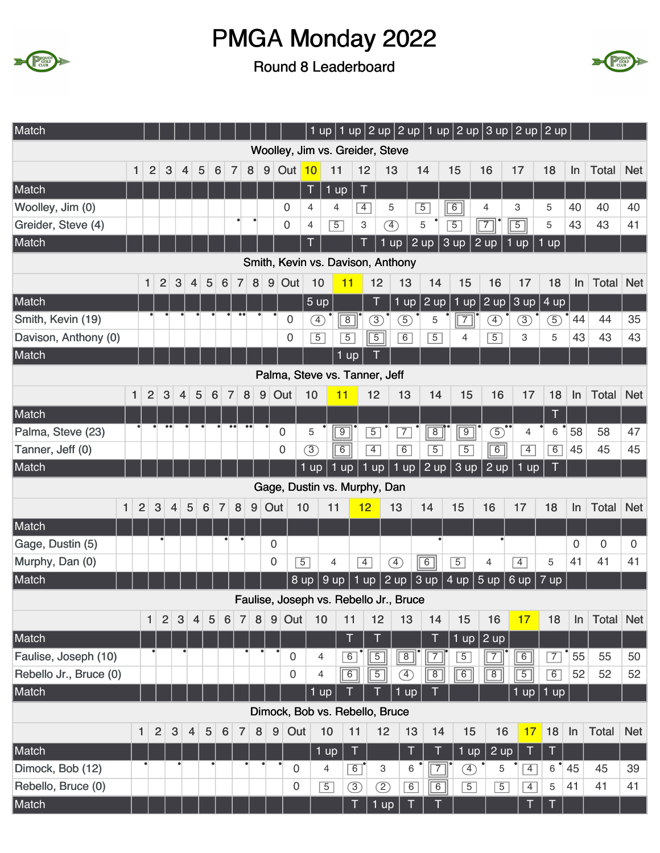



| Match                  |                |                |                  |                |                |                     |                  |                        |                       |             | 1 up                            |                |                |                                        |                     | 1 up $ 2$ up $ 2$ up $ 1$ up $ 2$ up $ 3$ up $ 2$ up $ 2$ up $ $ |                   |                |                |          |              |            |
|------------------------|----------------|----------------|------------------|----------------|----------------|---------------------|------------------|------------------------|-----------------------|-------------|---------------------------------|----------------|----------------|----------------------------------------|---------------------|------------------------------------------------------------------|-------------------|----------------|----------------|----------|--------------|------------|
|                        |                |                |                  |                |                |                     |                  |                        |                       |             | Woolley, Jim vs. Greider, Steve |                |                |                                        |                     |                                                                  |                   |                |                |          |              |            |
|                        | 1              | $\overline{2}$ | 3                | 4              | 5              | 6                   | 7                | 8                      | $\boldsymbol{9}$      | Out         | 10                              | 11             | 12             | 13                                     | 14                  | 15                                                               | 16                | 17             | 18             | In       | <b>Total</b> | <b>Net</b> |
| Match                  |                |                |                  |                |                |                     |                  |                        |                       |             | T                               | $1$ up         | T              |                                        |                     |                                                                  |                   |                |                |          |              |            |
| Woolley, Jim (0)       |                |                |                  |                |                |                     |                  |                        |                       | 0           | 4                               | 4              | $\overline{4}$ | 5                                      | $\overline{5}$      | $\sqrt{6}$                                                       | $\overline{4}$    | 3              | 5              | 40       | 40           | 40         |
| Greider, Steve (4)     |                |                |                  |                |                |                     |                  | $\bullet$<br>$\bullet$ |                       | $\mathbf 0$ | $\overline{4}$                  | $\overline{5}$ | 3              | $\left( 4\right)$                      | 5                   | $\overline{5}$                                                   | $\sqrt{7}$        | $\overline{5}$ | 5              | 43       | 43           | 41         |
| Match                  |                |                |                  |                |                |                     |                  |                        |                       |             | T                               |                |                | $1$ up                                 | 2 up                | 3 up                                                             | $2 \overline{up}$ | $1$ up         | $1$ up         |          |              |            |
|                        |                |                |                  |                |                |                     |                  |                        |                       |             |                                 |                |                | Smith, Kevin vs. Davison, Anthony      |                     |                                                                  |                   |                |                |          |              |            |
|                        |                | $\mathbf{1}$   | $\overline{2}$   | 3              | 4              | 5                   | 6                | 8<br>7                 | $\boldsymbol{9}$      | Out         | 10                              | 11             | 12             | 13                                     | 14                  | 15                                                               | 16                | 17             | 18             | In       | <b>Total</b> | <b>Net</b> |
| Match                  |                |                |                  |                |                |                     |                  |                        |                       |             | 5 <sub>up</sub>                 |                | T              | $1$ up                                 | $2 \overline{up}$   | $1$ up                                                           | 2 up              | 3 up           | 4 up           |          |              |            |
| Smith, Kevin (19)      |                |                |                  |                |                |                     |                  |                        |                       | 0           | Ð                               | $\overline{8}$ | $\circled{3}$  | $\circledS$                            | 5                   | $\overline{7}$                                                   | Œ                 | $\circled{3}$  | 5              | 44       | 44           | 35         |
| Davison, Anthony (0)   |                |                |                  |                |                |                     |                  |                        |                       | 0           | $\overline{5}$                  | $\overline{5}$ | $\overline{5}$ | 6                                      | $\overline{5}$      | 4                                                                | $\overline{5}$    | 3              | 5              | 43       | 43           | 43         |
| Match                  |                |                |                  |                |                |                     |                  |                        |                       |             |                                 | $1$ up         |                |                                        |                     |                                                                  |                   |                |                |          |              |            |
|                        |                |                |                  |                |                |                     |                  |                        |                       |             | Palma, Steve vs. Tanner, Jeff   |                |                |                                        |                     |                                                                  |                   |                |                |          |              |            |
|                        | 1              | $\overline{2}$ | $\mathbf{3}$     | $\overline{4}$ | $\sqrt{5}$     | 6                   | $\overline{7}$   | $\bf 8$                | $\boldsymbol{9}$      | Out         | 10                              | 11             | 12             | 13                                     | 14                  | 15                                                               | 16                | 17             | 18             | In       | Total        | <b>Net</b> |
| Match                  |                |                |                  |                |                |                     |                  |                        |                       |             |                                 |                |                |                                        |                     |                                                                  |                   |                | Τ              |          |              |            |
| Palma, Steve (23)      |                |                | $\bullet\bullet$ |                |                |                     | $\bullet$        | $\bullet\bullet$       |                       | 0           | 5                               | $\overline{9}$ | $\overline{5}$ | $\overline{7}$                         | $\overline{8}$      | $\boxed{9}$                                                      | $\circled{5}$     | $\overline{4}$ | 6              | 58       | 58           | 47         |
| Tanner, Jeff (0)       |                |                |                  |                |                |                     |                  |                        |                       | 0           | $\circled{3}$                   | $\overline{6}$ | $\overline{4}$ | 6                                      | $\overline{5}$      | $\overline{5}$                                                   | $\overline{6}$    | $\overline{4}$ | $\overline{6}$ | 45       | 45           | 45         |
| Match                  |                |                |                  |                |                |                     |                  |                        |                       |             | $1$ up                          | $1$ up         | $1$ up         | $1$ up                                 | 2 up                | 3 up                                                             | $2 \text{ up}$    | $1$ up         | T              |          |              |            |
|                        |                |                |                  |                |                |                     |                  |                        |                       |             | Gage, Dustin vs. Murphy, Dan    |                |                |                                        |                     |                                                                  |                   |                |                |          |              |            |
| $\mathbf{1}$           | $\overline{2}$ | 3              | $\overline{4}$   | 5              |                | 6<br>$\overline{7}$ | 8                | 9                      | Out                   |             | 10                              | 11             | 12             | 13                                     | 14                  | 15                                                               | 16                | 17             | 18             | In       | <b>Total</b> | <b>Net</b> |
| Match                  |                |                |                  |                |                |                     |                  |                        |                       |             |                                 |                |                |                                        |                     |                                                                  |                   |                |                |          |              |            |
| Gage, Dustin (5)       |                |                |                  |                |                |                     |                  |                        |                       |             |                                 |                |                |                                        |                     |                                                                  |                   |                |                |          |              |            |
| Murphy, Dan (0)        |                |                |                  |                |                |                     |                  |                        | $\mathbf 0$           |             |                                 |                |                |                                        |                     |                                                                  |                   |                |                | $\Omega$ | $\Omega$     | 0          |
| Match                  |                |                |                  |                |                |                     |                  |                        | $\overline{0}$        |             | $\overline{5}$                  | 4              | $\overline{4}$ | $\circled{4}$                          | $\boxed{6}$         | $\overline{5}$                                                   | 4                 | $\overline{4}$ | 5              | 41       | 41           | 41         |
|                        |                |                |                  |                |                |                     |                  |                        |                       | $8 \,$ up   |                                 | 9 up           | 1 up           | 2 up                                   | 3 up                | 4 up                                                             | 5 up              | 6 up           | $7 \text{ up}$ |          |              |            |
|                        |                |                |                  |                |                |                     |                  |                        |                       |             |                                 |                |                | Faulise, Joseph vs. Rebello Jr., Bruce |                     |                                                                  |                   |                |                |          |              |            |
|                        |                | $\mathbf{1}$   | $\overline{2}$   | $\mathbf{3}$   | $\overline{4}$ | 5                   | $6\phantom{1}6$  | $\overline{7}$         | $\bf 8$               | $9$ Out     | 10                              | 11             | 12             | 13                                     | 14                  | 15                                                               | 16                | 17             | 18             | In       | Total        | <b>Net</b> |
| Match                  |                |                |                  |                |                |                     |                  |                        |                       |             |                                 | $\top$         | T              |                                        | $\top$              |                                                                  | 1 up $ 2$ up      |                |                |          |              |            |
| Faulise, Joseph (10)   |                |                |                  |                |                |                     |                  |                        |                       | 0           | 4                               | 6              | $\boxed{5}$    | $\boxed{8}$                            | $\sqrt{7}$          | $\overline{5}$                                                   | $\boxed{7}$       | $\boxed{6}$    | $\overline{7}$ | 55       | 55           | 50         |
| Rebello Jr., Bruce (0) |                |                |                  |                |                |                     |                  |                        |                       | 0           | 4                               | $\sqrt{6}$     | $\overline{5}$ | $\circled{4}$                          | $\sqrt{8}$          | $\sqrt{6}$                                                       | $\overline{8}$    | $\overline{5}$ | 6              | 52       | 52           | 52         |
| Match                  |                |                |                  |                |                |                     |                  |                        |                       |             | 1 up                            |                |                | 1 up                                   |                     |                                                                  |                   | $1$ up         | $1$ up         |          |              |            |
|                        |                |                |                  |                |                |                     |                  |                        |                       |             |                                 |                |                | Dimock, Bob vs. Rebello, Bruce         |                     |                                                                  |                   |                |                |          |              |            |
|                        | $\mathbf{1}$   | $\overline{2}$ | $\mathbf{3}$     | $\overline{4}$ |                | $5\phantom{.0}$     | $6 \overline{6}$ | $\overline{7}$         | $\boldsymbol{9}$<br>8 | Out         | 10                              | 11             |                | 12                                     | 13<br>14            | 15                                                               | 16                | 17             | 18             | ln       | Total        | <b>Net</b> |
| Match                  |                |                |                  |                |                |                     |                  |                        |                       |             |                                 | $\mathsf T$    |                |                                        | $\top$<br>T         |                                                                  |                   | T              | $\mathsf T$    |          |              |            |
| Dimock, Bob (12)       |                |                |                  |                |                |                     |                  |                        |                       | 0           | $1 \text{ up}$<br>4             | $\boxed{6}$    | 3              |                                        | 6<br>$\overline{7}$ | 1 up<br>④                                                        | 2 up<br>5         | $\overline{4}$ | 6              | 45       | 45           | 39         |
| Rebello, Bruce (0)     |                |                |                  |                |                |                     |                  |                        |                       | 0           | $\overline{5}$                  | $\circled{3}$  | $\circled{2}$  |                                        | 6<br>$\overline{6}$ | $\overline{5}$                                                   | $\overline{5}$    | $\boxed{4}$    | 5              | 41       | 41           | 41         |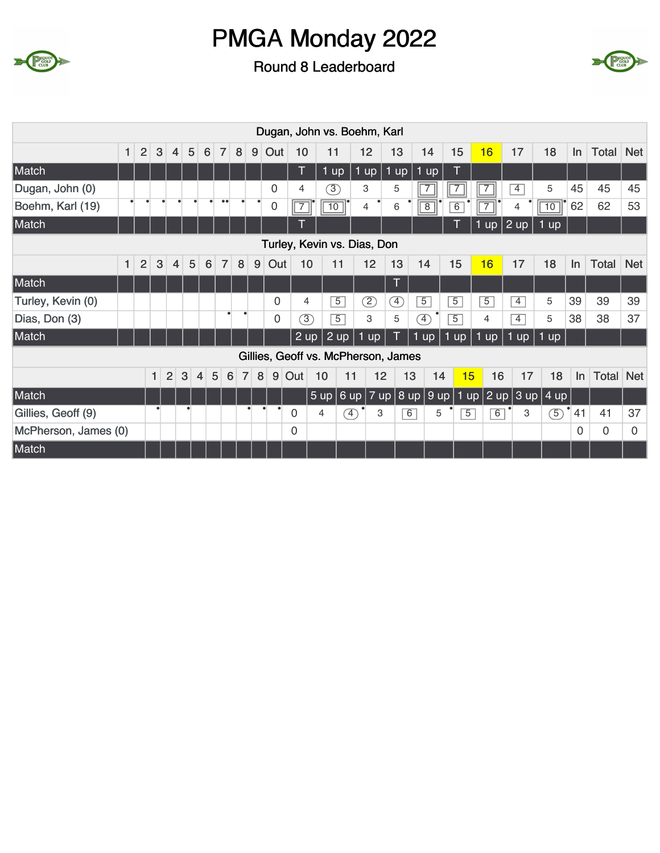



|                      |              |                |              |                |   |   |                     |                |   |           |                |                |                              | Dugan, John vs. Boehm, Karl         |                              |                              |                |                |                   |                |                                                                      |          |           |            |
|----------------------|--------------|----------------|--------------|----------------|---|---|---------------------|----------------|---|-----------|----------------|----------------|------------------------------|-------------------------------------|------------------------------|------------------------------|----------------|----------------|-------------------|----------------|----------------------------------------------------------------------|----------|-----------|------------|
|                      | $\mathbf{1}$ | 2              | 3            | $\overline{4}$ | 5 | 6 | 7 <sup>1</sup>      | 8 <sup>1</sup> |   | $9$ Out   | 10             |                | 11                           | 12                                  | 13                           | 14                           |                | 15             | 16                | 17             | 18                                                                   | $\ln$    | Total Net |            |
| Match                |              |                |              |                |   |   |                     |                |   |           | T              |                | $1$ up                       | $1$ up                              | 1 up                         | $1$ up                       |                | T              |                   |                |                                                                      |          |           |            |
| Dugan, John (0)      |              |                |              |                |   |   |                     |                |   | 0         | 4              |                | $\circled{3}$                | 3                                   | 5                            |                              |                | $\overline{7}$ | 7                 | 4              | 5                                                                    | 45       | 45        | 45         |
| Boehm, Karl (19)     |              |                |              |                |   |   | $\bullet\bullet$    |                |   | 0         |                |                | $\overline{10}$              | 4                                   | 6                            | $\overline{8}$               |                | 6              | 7                 | $\overline{4}$ | 10                                                                   | 62       | 62        | 53         |
| Match                |              |                |              |                |   |   |                     |                |   |           | T              |                |                              |                                     |                              |                              |                | T              | $1 \overline{up}$ | $ 2$ up        | 1 up                                                                 |          |           |            |
|                      |              |                |              |                |   |   |                     |                |   |           |                |                |                              | Turley, Kevin vs. Dias, Don         |                              |                              |                |                |                   |                |                                                                      |          |           |            |
|                      | 1            | $\overline{2}$ | $\mathbf{3}$ | $\overline{4}$ | 5 | 6 | $\overline{7}$      | 8              | 9 | Out       |                | 10             | 11                           | 12                                  | 13                           | 14                           |                | 15             | 16                | 17             | 18                                                                   | In       | Total     | <b>Net</b> |
| Match                |              |                |              |                |   |   |                     |                |   |           |                |                |                              |                                     | Τ                            |                              |                |                |                   |                |                                                                      |          |           |            |
| Turley, Kevin (0)    |              |                |              |                |   |   |                     |                |   | 0         |                | 4              | $\overline{5}$               | C)                                  | $\left( \overline{4}\right)$ | $\overline{5}$               |                | $\overline{5}$ | $\overline{5}$    | $\overline{4}$ | 5                                                                    | 39       | 39        | 39         |
| Dias, Don (3)        |              |                |              |                |   |   |                     |                |   | 0         |                | $\circled{3}$  | $\overline{5}$               | З                                   | 5                            | $\left( \overline{4}\right)$ | $\overline{5}$ |                | 4                 | $\overline{4}$ | 5                                                                    | 38       | 38        | 37         |
| Match                |              |                |              |                |   |   |                     |                |   |           |                | 2 up           | 2 up                         | 1 up                                |                              | $1$ up                       | 1 up           |                | $1$ up            | $1$ up $\vert$ | 1 up                                                                 |          |           |            |
|                      |              |                |              |                |   |   |                     |                |   |           |                |                |                              | Gillies, Geoff vs. McPherson, James |                              |                              |                |                |                   |                |                                                                      |          |           |            |
|                      |              |                | 1            | $\overline{2}$ | 3 | 4 | 5<br>$6\phantom{1}$ | $\overline{7}$ | 8 | 9         | Out            | 10             | 11                           | 12                                  |                              | 13                           | 14             | 15             | 16                | 17             | 18                                                                   | In.      | Total     | <b>Net</b> |
| Match                |              |                |              |                |   |   |                     |                |   |           |                |                |                              | 5 up 6 up 7 up                      |                              | 8 up                         | 9 up           |                |                   |                | $\boxed{1 \text{ up}$ 2 up $\boxed{3}$ up $\boxed{4}$ up $\boxed{4}$ |          |           |            |
| Gillies, Geoff (9)   |              |                | $\bullet$    |                |   |   |                     |                |   | $\bullet$ | 0              | $\overline{4}$ | $\left( \overline{4}\right)$ | 3                                   |                              | $\overline{6}$               | 5              | $\overline{5}$ | $\overline{6}$    | 3              | 5                                                                    | 41       | 41        | 37         |
| McPherson, James (0) |              |                |              |                |   |   |                     |                |   |           | $\overline{0}$ |                |                              |                                     |                              |                              |                |                |                   |                |                                                                      | $\Omega$ | 0         | 0          |
| Match                |              |                |              |                |   |   |                     |                |   |           |                |                |                              |                                     |                              |                              |                |                |                   |                |                                                                      |          |           |            |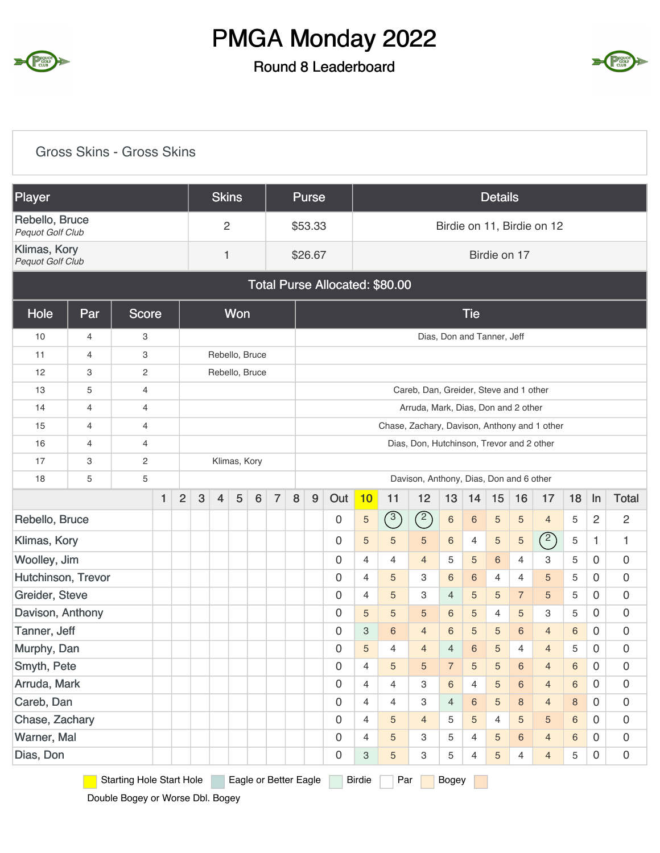

#### Round 8 Leaderboard



|                                    | <b>Gross Skins - Gross Skins</b> |                                 |   |                |   |                |              |                 |                       |                                                                                                                               |         |                  |                           |                                              |                                           |                |                 |                            |                |                            |             |                     |                     |
|------------------------------------|----------------------------------|---------------------------------|---|----------------|---|----------------|--------------|-----------------|-----------------------|-------------------------------------------------------------------------------------------------------------------------------|---------|------------------|---------------------------|----------------------------------------------|-------------------------------------------|----------------|-----------------|----------------------------|----------------|----------------------------|-------------|---------------------|---------------------|
| Player                             |                                  |                                 |   |                |   | <b>Skins</b>   |              |                 |                       |                                                                                                                               | Purse   |                  |                           |                                              |                                           |                |                 | <b>Details</b>             |                |                            |             |                     |                     |
| Rebello, Bruce<br>Pequot Golf Club |                                  |                                 |   |                |   | $\overline{c}$ |              |                 |                       |                                                                                                                               | \$53.33 |                  |                           |                                              |                                           |                |                 |                            |                | Birdie on 11, Birdie on 12 |             |                     |                     |
| Klimas, Kory<br>Pequot Golf Club   |                                  |                                 |   |                |   | $\mathbf{1}$   |              |                 |                       |                                                                                                                               | \$26.67 |                  |                           |                                              |                                           |                |                 | Birdie on 17               |                |                            |             |                     |                     |
|                                    |                                  |                                 |   |                |   |                |              |                 |                       |                                                                                                                               |         |                  |                           | Total Purse Allocated: \$80.00               |                                           |                |                 |                            |                |                            |             |                     |                     |
| <b>Hole</b>                        | Par                              | <b>Score</b>                    |   |                |   |                | Won          |                 |                       |                                                                                                                               |         |                  |                           |                                              |                                           |                | <b>Tie</b>      |                            |                |                            |             |                     |                     |
| 10                                 | 4                                | 3                               |   |                |   |                |              |                 |                       |                                                                                                                               |         |                  |                           |                                              |                                           |                |                 | Dias, Don and Tanner, Jeff |                |                            |             |                     |                     |
| 11                                 | 4                                | 3                               |   |                |   |                |              | Rebello, Bruce  |                       |                                                                                                                               |         |                  |                           |                                              |                                           |                |                 |                            |                |                            |             |                     |                     |
| 12                                 | 3                                | 2                               |   |                |   |                |              | Rebello, Bruce  |                       |                                                                                                                               |         |                  |                           |                                              |                                           |                |                 |                            |                |                            |             |                     |                     |
| 13                                 | 5                                | $\overline{4}$                  |   |                |   |                |              |                 |                       |                                                                                                                               |         |                  |                           |                                              | Careb, Dan, Greider, Steve and 1 other    |                |                 |                            |                |                            |             |                     |                     |
| 14                                 | 4                                | 4                               |   |                |   |                |              |                 |                       |                                                                                                                               |         |                  |                           |                                              | Arruda, Mark, Dias, Don and 2 other       |                |                 |                            |                |                            |             |                     |                     |
| 15                                 | 4                                | 4                               |   |                |   |                |              |                 |                       |                                                                                                                               |         |                  |                           | Chase, Zachary, Davison, Anthony and 1 other |                                           |                |                 |                            |                |                            |             |                     |                     |
| 16                                 | $\overline{4}$                   | 4                               |   |                |   |                |              |                 |                       |                                                                                                                               |         |                  |                           |                                              | Dias, Don, Hutchinson, Trevor and 2 other |                |                 |                            |                |                            |             |                     |                     |
| 17                                 | 3                                | 2                               |   |                |   |                | Klimas, Kory |                 |                       |                                                                                                                               |         |                  |                           |                                              |                                           |                |                 |                            |                |                            |             |                     |                     |
| 18                                 | 5                                | 5                               |   |                |   |                |              |                 |                       |                                                                                                                               |         |                  |                           |                                              | Davison, Anthony, Dias, Don and 6 other   |                |                 |                            |                |                            |             |                     |                     |
|                                    |                                  |                                 | 1 | $\overline{2}$ | 3 | $\overline{4}$ | 5            | $6\phantom{1}6$ | $\overline{7}$        | 8                                                                                                                             | 9       | Out              | 10                        | 11                                           | 12                                        | 13             | 14              | 15                         | 16             | 17                         | 18          | $\ln$               | <b>Total</b>        |
| Rebello, Bruce                     |                                  |                                 |   |                |   |                |              |                 |                       |                                                                                                                               |         | $\bf 0$          | 5                         | (3)                                          | $\circled{2}$                             | $\,$ 6 $\,$    | $\sqrt{6}$      | $\sqrt{5}$                 | 5              | $\overline{4}$             | 5           | $\sqrt{2}$          | $\sqrt{2}$          |
| Klimas, Kory                       |                                  |                                 |   |                |   |                |              |                 |                       |                                                                                                                               |         | 0                | 5                         | 5                                            | $\overline{5}$                            | 6              | $\overline{4}$  | 5                          | $\sqrt{5}$     | $\binom{2}{ }$             | $\mathbf 5$ | 1.                  | 1                   |
| Woolley, Jim                       |                                  |                                 |   |                |   |                |              |                 |                       |                                                                                                                               |         | $\mathbf 0$      | 4                         | $\overline{4}$                               | $\overline{4}$                            | 5              | 5               | 6                          | $\overline{4}$ | 3                          | 5           | 0                   | $\mathsf{O}\xspace$ |
| Hutchinson, Trevor                 |                                  |                                 |   |                |   |                |              |                 |                       |                                                                                                                               |         | 0                | 4                         | 5                                            | 3                                         | 6              | 6               | $\overline{4}$             | $\overline{4}$ | 5                          | 5           | 0                   | $\mathsf{O}\xspace$ |
| Greider, Steve                     |                                  |                                 |   |                |   |                |              |                 |                       |                                                                                                                               |         | $\mathbf 0$      | 4                         | 5                                            | 3                                         | $\overline{4}$ | 5               | 5                          | $\overline{7}$ | 5                          | 5           | 0                   | $\mathsf{O}\xspace$ |
| Davison, Anthony                   |                                  |                                 |   |                |   |                |              |                 |                       |                                                                                                                               |         | 0                | 5                         | 5                                            | 5                                         | 6              | 5               | 4                          | 5              | 3                          | 5           | 0                   | $\mathbf 0$         |
| Tanner, Jeff                       |                                  |                                 |   |                |   |                |              |                 |                       |                                                                                                                               |         | $\bf 0$          | $\ensuremath{\mathsf{3}}$ | 6                                            | $\overline{4}$                            | $\,$ 6 $\,$    | $\sqrt{5}$      | $\sqrt{5}$                 | $\,6$          | $\overline{4}$             | $\,6$       | $\mathsf{O}\xspace$ | $\boldsymbol{0}$    |
| Murphy, Dan                        |                                  |                                 |   |                |   |                |              |                 |                       |                                                                                                                               |         | $\bf 0$          | 5                         | 4                                            | $\overline{4}$                            | $\overline{4}$ | $\,$ 6 $\,$     | 5                          | 4              | $\overline{4}$             | 5           | $\mathbf 0$         | $\mathsf{O}\xspace$ |
| Smyth, Pete                        |                                  |                                 |   |                |   |                |              |                 |                       |                                                                                                                               |         | $\bf 0$          | 4                         | 5                                            | $\sqrt{5}$                                | $\overline{7}$ | $\overline{5}$  | $\overline{5}$             | $\,6\,$        | $\overline{4}$             | 6           | 0                   | $\mathsf{O}\xspace$ |
| Arruda, Mark                       |                                  |                                 |   |                |   |                |              |                 |                       |                                                                                                                               |         | $\boldsymbol{0}$ | 4                         | $\overline{4}$                               | 3                                         | $\,6\,$        | 4               | $\overline{5}$             | $\,6\,$        | $\overline{4}$             | 6           | 0                   | $\mathsf{O}\xspace$ |
| Careb, Dan                         |                                  |                                 |   |                |   |                |              |                 |                       |                                                                                                                               |         | $\bf 0$          | 4                         | 4                                            | 3                                         | $\overline{4}$ | $6\phantom{1}6$ | $\sqrt{5}$                 | $\bf 8$        | $\overline{4}$             | $\,8\,$     | 0                   | $\mathsf{O}\xspace$ |
| Chase, Zachary                     |                                  |                                 |   |                |   |                |              |                 |                       | $\boldsymbol{0}$<br>$\overline{0}$<br>4<br>5<br>$\overline{4}$<br>5<br>$\,6\,$<br>5<br>4<br>5<br>5<br>0                       |         |                  |                           |                                              |                                           |                |                 |                            |                |                            |             |                     |                     |
| Warner, Mal                        |                                  |                                 |   |                |   |                |              |                 |                       | $\mathsf{O}\xspace$<br>$\bf 0$<br>4<br>5<br>5<br>$\,6\,$<br>3<br>$\overline{4}$<br>$\overline{5}$<br>$\overline{4}$<br>6<br>0 |         |                  |                           |                                              |                                           |                |                 |                            |                |                            |             |                     |                     |
| Dias, Don                          |                                  |                                 |   |                |   |                |              |                 |                       |                                                                                                                               |         | $\bf 0$          | $\ensuremath{\mathsf{3}}$ | 5                                            | 3                                         | 5              | 4               | $\sqrt{5}$                 | $\overline{4}$ | $\overline{4}$             | 5           | $\mathbf 0$         | $\mathsf{O}\xspace$ |
|                                    |                                  | <b>Starting Hole Start Hole</b> |   |                |   |                |              |                 | Eagle or Better Eagle |                                                                                                                               |         |                  | <b>Birdie</b>             | Par                                          |                                           | Bogey          |                 |                            |                |                            |             |                     |                     |

Double Bogey or Worse Dbl. Bogey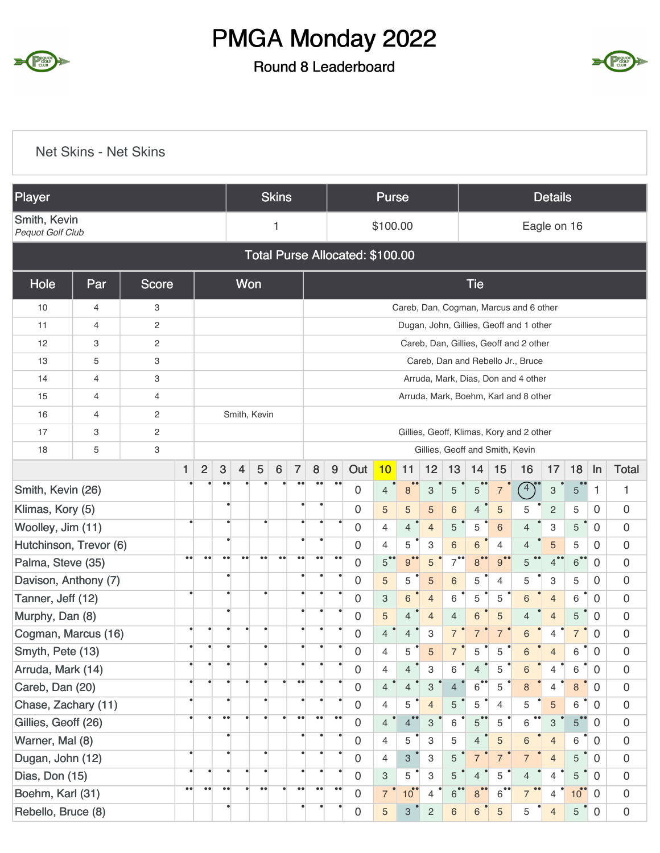



|                                  | <b>Net Skins - Net Skins</b> |              |                   |                  |                        |                  |                  |                  |                                                                                                                                                                                                                                               |                                       |                    |                                 |                   |                |                           |                      |                      |                |                                          |                           |                 |                |                     |
|----------------------------------|------------------------------|--------------|-------------------|------------------|------------------------|------------------|------------------|------------------|-----------------------------------------------------------------------------------------------------------------------------------------------------------------------------------------------------------------------------------------------|---------------------------------------|--------------------|---------------------------------|-------------------|----------------|---------------------------|----------------------|----------------------|----------------|------------------------------------------|---------------------------|-----------------|----------------|---------------------|
| Player                           |                              |              |                   |                  |                        |                  |                  | <b>Skins</b>     |                                                                                                                                                                                                                                               |                                       |                    |                                 | <b>Purse</b>      |                |                           |                      |                      |                |                                          | <b>Details</b>            |                 |                |                     |
| Smith, Kevin<br>Pequot Golf Club |                              |              |                   |                  |                        |                  |                  | 1                |                                                                                                                                                                                                                                               |                                       |                    |                                 | \$100.00          |                |                           |                      |                      |                |                                          | Eagle on 16               |                 |                |                     |
|                                  |                              |              |                   |                  |                        |                  |                  |                  |                                                                                                                                                                                                                                               |                                       |                    | Total Purse Allocated: \$100.00 |                   |                |                           |                      |                      |                |                                          |                           |                 |                |                     |
| Hole                             | Par                          | <b>Score</b> |                   |                  |                        |                  | Won              |                  |                                                                                                                                                                                                                                               |                                       |                    |                                 |                   |                |                           |                      | <b>Tie</b>           |                |                                          |                           |                 |                |                     |
| 10                               | 4                            | 3            |                   |                  |                        |                  |                  |                  |                                                                                                                                                                                                                                               |                                       |                    |                                 |                   |                |                           |                      |                      |                | Careb, Dan, Cogman, Marcus and 6 other   |                           |                 |                |                     |
| 11                               | 4                            | 2            |                   |                  |                        |                  |                  |                  |                                                                                                                                                                                                                                               |                                       |                    |                                 |                   |                |                           |                      |                      |                | Dugan, John, Gillies, Geoff and 1 other  |                           |                 |                |                     |
| 12                               | 3                            | 2            |                   |                  |                        |                  |                  |                  |                                                                                                                                                                                                                                               |                                       |                    |                                 |                   |                |                           |                      |                      |                | Careb, Dan, Gillies, Geoff and 2 other   |                           |                 |                |                     |
| 13                               | 5                            | 3            |                   |                  |                        |                  |                  |                  |                                                                                                                                                                                                                                               | Careb, Dan and Rebello Jr., Bruce     |                    |                                 |                   |                |                           |                      |                      |                |                                          |                           |                 |                |                     |
| 14                               | 4                            | 3            |                   |                  |                        |                  |                  |                  |                                                                                                                                                                                                                                               | Arruda, Mark, Dias, Don and 4 other   |                    |                                 |                   |                |                           |                      |                      |                |                                          |                           |                 |                |                     |
| 15                               | 4                            | 4            |                   |                  |                        |                  |                  |                  |                                                                                                                                                                                                                                               | Arruda, Mark, Boehm, Karl and 8 other |                    |                                 |                   |                |                           |                      |                      |                |                                          |                           |                 |                |                     |
| 16                               | 4                            | 2            |                   |                  |                        |                  | Smith, Kevin     |                  |                                                                                                                                                                                                                                               |                                       |                    |                                 |                   |                |                           |                      |                      |                |                                          |                           |                 |                |                     |
| 17                               | 3                            | 2            |                   |                  |                        |                  |                  |                  |                                                                                                                                                                                                                                               |                                       |                    |                                 |                   |                |                           |                      |                      |                | Gillies, Geoff, Klimas, Kory and 2 other |                           |                 |                |                     |
| 18                               | 5                            | 3            |                   |                  |                        |                  |                  |                  |                                                                                                                                                                                                                                               |                                       |                    |                                 |                   |                |                           |                      |                      |                | Gillies, Geoff and Smith, Kevin          |                           |                 |                |                     |
|                                  |                              |              | $\mathbf{1}$      | $\overline{2}$   | 3                      | $\overline{4}$   | 5                | $6\phantom{1}6$  | $\overline{7}$                                                                                                                                                                                                                                | 8                                     | $\boldsymbol{9}$   | Out                             | 10                | 11             | 12                        | 13                   | 14                   | 15             | 16                                       | 17                        | 18              | $\ln$          | <b>Total</b>        |
| Smith, Kevin (26)                |                              |              |                   |                  |                        |                  |                  |                  |                                                                                                                                                                                                                                               | $\bullet\bullet$                      | $\bullet$          | $\boldsymbol{0}$                | $\overline{4}$    | 8              | $\ensuremath{\mathsf{3}}$ | $\sqrt{5}$           | 5 <sup>2</sup>       | $\overline{7}$ | $\left(4\right)$                         | $\ensuremath{\mathsf{3}}$ | 5 <sup>1</sup>  | 1              | 1                   |
| Klimas, Kory (5)                 |                              |              |                   |                  | ٠                      |                  |                  |                  |                                                                                                                                                                                                                                               | ٠                                     |                    | $\mathbf 0$                     | 5                 | 5              | 5                         | 6                    | 4                    | $\sqrt{5}$     | 5                                        | $\overline{c}$            | 5               | 0              | $\mathbf 0$         |
| Woolley, Jim (11)                |                              |              |                   |                  |                        |                  |                  |                  |                                                                                                                                                                                                                                               |                                       |                    | 0                               | $\overline{4}$    | $\overline{4}$ | $\overline{4}$            | 5                    | 5                    | 6              | $\overline{4}$                           | 3                         | 5               | $\overline{0}$ | 0                   |
| Hutchinson, Trevor (6)           |                              |              |                   |                  | $\bullet$              |                  |                  |                  |                                                                                                                                                                                                                                               | $\bullet$                             |                    | $\mathbf 0$                     | $\overline{4}$    | 5              | 3                         | 6                    | $\,6$                | $\overline{4}$ | $\overline{4}$                           | 5                         | 5               | 0              | 0                   |
| Palma, Steve (35)                |                              |              | $\bullet$         | $\bullet\bullet$ | $\bullet$<br>$\bullet$ | $\bullet\bullet$ | $\bullet\bullet$ | $\bullet\bullet$ | $\bullet\,\bullet$                                                                                                                                                                                                                            | $\bullet\bullet$                      | $\bullet\bullet$   | 0                               | $5$ <sup>**</sup> | 9              | 5                         | $7^{\bullet\bullet}$ | $8^{\bullet\bullet}$ | $9 -$          | 5                                        | 4                         | 6               | $\mathbf 0$    | 0                   |
| Davison, Anthony (7)             |                              |              |                   |                  | $\bullet$              |                  |                  |                  |                                                                                                                                                                                                                                               |                                       |                    | $\mathbf 0$                     | 5                 | 5              | 5                         | 6                    | 5                    | 4              | 5                                        | 3                         | 5               | 0              | $\boldsymbol{0}$    |
| Tanner, Jeff (12)                |                              |              |                   |                  |                        |                  |                  |                  |                                                                                                                                                                                                                                               |                                       |                    | 0                               | 3                 | 6              | $\overline{4}$            | 6                    | 5                    | 5              | 6                                        | $\overline{4}$            | 6               | 0              | 0                   |
| Murphy, Dan (8)                  |                              |              |                   |                  |                        |                  |                  |                  |                                                                                                                                                                                                                                               |                                       |                    | 0                               | 5                 | $\overline{4}$ | $\overline{4}$            | $\overline{4}$       | 6                    | 5              | $\overline{4}$                           | $\overline{4}$            | 5               | 0              | 0                   |
| Cogman, Marcus (16)              |                              |              |                   |                  |                        |                  |                  |                  |                                                                                                                                                                                                                                               | ٠                                     |                    | $\mathbf 0$                     | 4 <sup>°</sup>    | $\overline{4}$ | 3                         | 7 <sup>•</sup>       | $\overline{7}$       | $\overline{7}$ | $6\phantom{a}$                           | $\overline{4}$            | $\overline{7}$  | $\overline{0}$ | $\mathbf 0$         |
| Smyth, Pete (13)                 |                              |              |                   | $\bullet$        |                        |                  | $\bullet$        |                  |                                                                                                                                                                                                                                               | ٠                                     |                    | $\mathsf{O}\xspace$             | 4                 | 5              | $\overline{5}$            | 7 <sup>°</sup>       | 5                    | 5              | $\,6\,$                                  | $\overline{4}$            | 6               | $\mathbf 0$    | $\mathbf 0$         |
| Arruda, Mark (14)                |                              |              | $\bullet$         | $\bullet$        | ٠                      |                  | $\bullet$        |                  |                                                                                                                                                                                                                                               | $\bullet$                             |                    | $\mathbf 0$                     | $\overline{4}$    | $\overline{4}$ | 3                         | 6                    | $\overline{4}$       | 5              | 6                                        | $\overline{4}$            | 6               | $\overline{0}$ | $\boldsymbol{0}$    |
| Careb, Dan (20)                  |                              |              |                   | $\bullet$        |                        |                  | $\bullet$        | $\bullet$        | $\bullet\bullet$                                                                                                                                                                                                                              | $\bullet$                             |                    | $\mathbf 0$                     | 4 <sup>•</sup>    | $\overline{4}$ | 3                         | $\overline{4}$       | $6^{\bullet\bullet}$ | 5              | $\bf 8$                                  | $\overline{4}$            | $\,8\,$         | $\overline{0}$ | $\boldsymbol{0}$    |
| Chase, Zachary (11)              |                              |              |                   |                  | $\bullet$              |                  |                  |                  |                                                                                                                                                                                                                                               |                                       |                    | $\mathbf 0$                     | $\overline{4}$    | 5              | $\overline{4}$            | 5                    | 5                    | $\overline{4}$ | 5                                        | 5                         | 6               | $\overline{0}$ | $\boldsymbol{0}$    |
| Gillies, Geoff (26)              |                              |              |                   |                  | $\bullet$<br>$\bullet$ |                  |                  |                  | $\bullet\,\bullet$<br>$\bullet\,\bullet$<br>$\bullet\bullet$<br>$\bullet\bullet$<br>4 <sup>°</sup><br>$4^{\bullet\bullet}$<br>$5^{\bullet\bullet}$<br>5<br>$\mathsf{O}\xspace$<br>5<br>$\boldsymbol{0}$<br>3<br>6<br>3<br>$\overline{0}$<br>6 |                                       |                    |                                 |                   |                |                           |                      |                      |                |                                          |                           |                 |                |                     |
| Warner, Mal (8)                  |                              |              |                   |                  | $\bullet$              |                  |                  |                  | $\bullet$<br>$\mathbf 0$<br>5<br>5<br>$\boldsymbol{0}$<br>3<br>5<br>$\overline{4}$<br>6<br>$\overline{4}$<br>6<br>$\mathbf 0$<br>4                                                                                                            |                                       |                    |                                 |                   |                |                           |                      |                      |                |                                          |                           |                 |                |                     |
| Dugan, John (12)                 |                              |              | $\bullet$         |                  | $\bullet$              |                  |                  |                  | ٠                                                                                                                                                                                                                                             | $\bullet$                             |                    | 0                               | $\overline{4}$    | $\mathbf{3}$   | 3                         | 5 <sup>°</sup>       | $\overline{7}$       | $\overline{7}$ | $\overline{7}$                           | $\overline{4}$            | 5               | $\mathbf 0$    | $\mathbf 0$         |
| Dias, Don (15)                   |                              |              |                   |                  | $\bullet$              |                  | $\bullet$        |                  |                                                                                                                                                                                                                                               |                                       |                    | 0                               | $\mathbf{3}$      | 5              | 3                         | 5                    | $\overline{4}$       | 5              | $\overline{4}$                           | $\overline{4}$            | $\sqrt{5}$      | $\overline{0}$ | $\boldsymbol{0}$    |
| Boehm, Karl (31)                 |                              |              | $\bullet \bullet$ | $\bullet\bullet$ | $\bullet\bullet$       |                  | $\bullet\bullet$ |                  | $\bullet\,\bullet$                                                                                                                                                                                                                            | $\bullet\,\bullet$                    | $\bullet\,\bullet$ | $\mathsf{O}\xspace$             | 7 <sup>o</sup>    | $10^{\circ}$   | $\overline{4}$            | $6^{\bullet\bullet}$ | 8                    | $\overline{6}$ | $\overline{7}$                           | $\overline{4}$            | 10 <sup>°</sup> | $\overline{0}$ | $\boldsymbol{0}$    |
| Rebello, Bruce (8)               |                              |              |                   |                  | $\bullet$              |                  |                  |                  | $\bullet$                                                                                                                                                                                                                                     | $\bullet$                             |                    | 0                               | 5                 | $\mathbf{3}$   | $\overline{c}$            | 6                    | $\,6$                | 5              | 5                                        | $\overline{4}$            | 5 <sup>°</sup>  | $\overline{0}$ | $\mathsf{O}\xspace$ |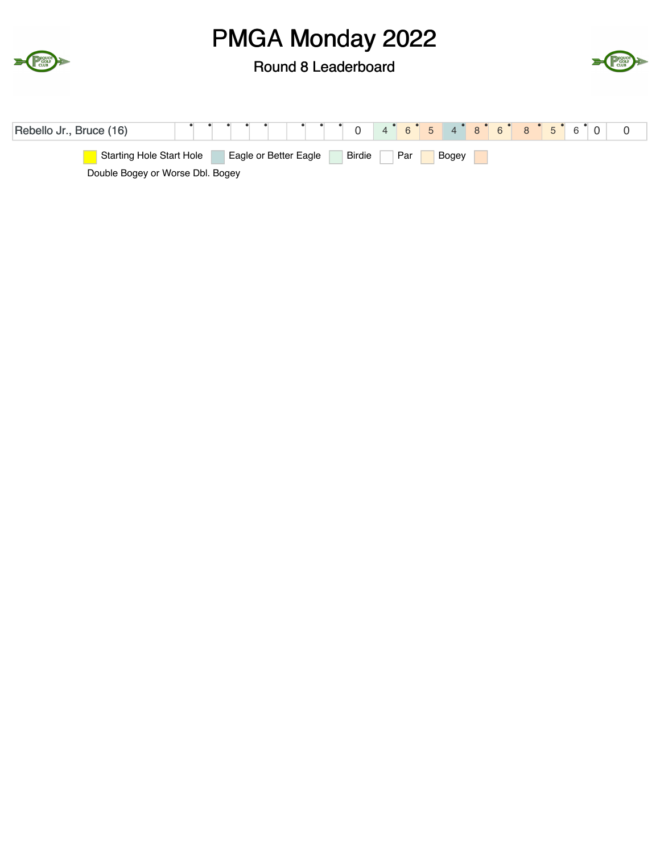